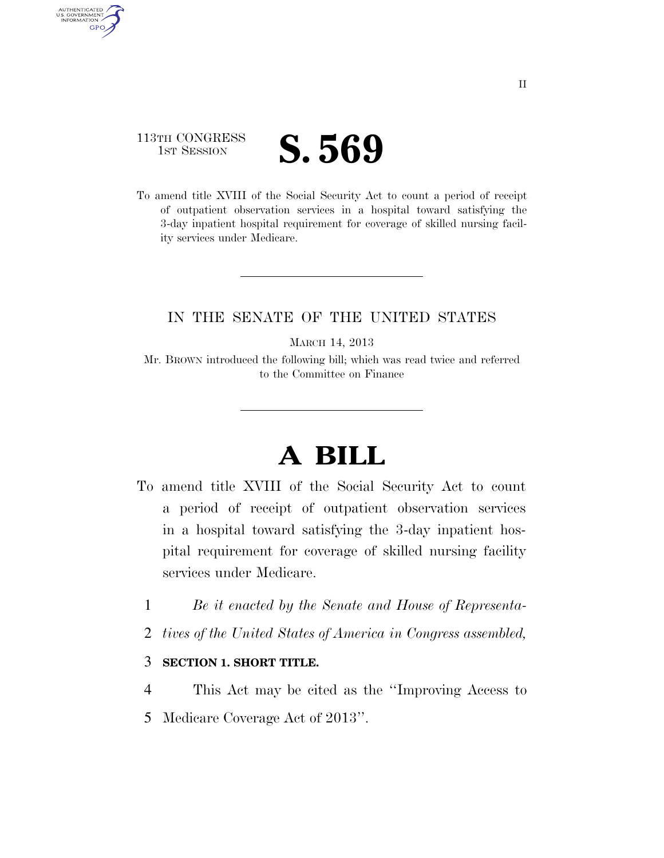## 113TH CONGRESS **IST SESSION S. 569**

AUTHENTICATED U.S. GOVERNMENT **GPO** 

> To amend title XVIII of the Social Security Act to count a period of receipt of outpatient observation services in a hospital toward satisfying the 3-day inpatient hospital requirement for coverage of skilled nursing facility services under Medicare.

## IN THE SENATE OF THE UNITED STATES

MARCH 14, 2013

Mr. BROWN introduced the following bill; which was read twice and referred to the Committee on Finance

## **A BILL**

- To amend title XVIII of the Social Security Act to count a period of receipt of outpatient observation services in a hospital toward satisfying the 3-day inpatient hospital requirement for coverage of skilled nursing facility services under Medicare.
	- 1 *Be it enacted by the Senate and House of Representa-*
	- 2 *tives of the United States of America in Congress assembled,*

## 3 **SECTION 1. SHORT TITLE.**

4 This Act may be cited as the ''Improving Access to 5 Medicare Coverage Act of 2013''.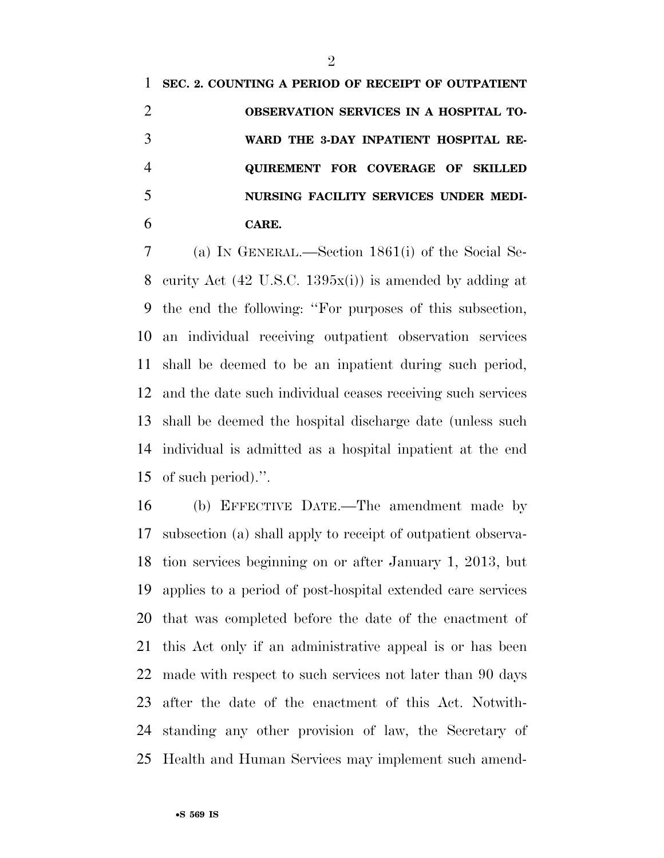**SEC. 2. COUNTING A PERIOD OF RECEIPT OF OUTPATIENT OBSERVATION SERVICES IN A HOSPITAL TO- WARD THE 3-DAY INPATIENT HOSPITAL RE- QUIREMENT FOR COVERAGE OF SKILLED NURSING FACILITY SERVICES UNDER MEDI-CARE.** 

 (a) IN GENERAL.—Section 1861(i) of the Social Se- curity Act (42 U.S.C. 1395x(i)) is amended by adding at the end the following: ''For purposes of this subsection, an individual receiving outpatient observation services shall be deemed to be an inpatient during such period, and the date such individual ceases receiving such services shall be deemed the hospital discharge date (unless such individual is admitted as a hospital inpatient at the end of such period).''.

 (b) EFFECTIVE DATE.—The amendment made by subsection (a) shall apply to receipt of outpatient observa- tion services beginning on or after January 1, 2013, but applies to a period of post-hospital extended care services that was completed before the date of the enactment of this Act only if an administrative appeal is or has been made with respect to such services not later than 90 days after the date of the enactment of this Act. Notwith- standing any other provision of law, the Secretary of Health and Human Services may implement such amend